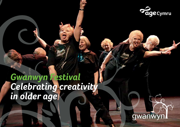

## *Gwanwyn Festival Celebrating creativity in older age*

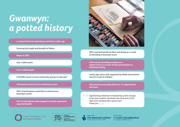## *Gwanwyn: a potted history*

A national festival celebrating creativity in older age

Covering the length and breadth of Wales

Began in 2007

Over 3,500 events

Over 75,000 people

£250,000 issued to local community groups to take part

490 grants issued to local community groups

96% of participants would like to attend more Gwanwyn events

92% of participants who engaged in artistic expression reported benefit



89% reported benefit to their well-being as a result of attending a Gwanwyn event

62% now do something creative on a regular basis as a result of their participation in Gwanwyn activity

Led by Age Cymru and supported by Welsh Government and Arts Council of Wales

Delivered in partnership with over 75 organisations each year

*Approaching retirement and plucking up the courage to be more creative. Gwanwyn has come just at the right time and feels like a good start! Thank you.* **''''**



Cyngor Celfyddydau Cymru Arts Council of Wales





Cefnogwyd gan **Y Loteri Genedlaethol** trwy Gyngor Celfyddydau Cymru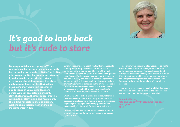

## *It's good to look back but it's rude to stare*

Gwanwyn, which means spring in Welsh, celebrates older age as a time of opportunity for renewal, growth and creativity. The festival offers opportunities for greater participation by older people in the arts, be it visual arts, drama, storytelling, music, literature, photography, dance or film. During May, groups and individuals join together in a wide range of venues and locations across Wales in an explosion of paint, clay, photography, theatre, dance, creative writing, film, storytelling, and much more. It is a time for performance, exhibition, workshops, discussion, networking and most importantly fun!

**Gwanwyn celebrates its 10th birthday this year, providing a timely opportunity to look back at the festival's achievements and share a small flavour of the work created over the past ten years. With Roy Bailey's quote in mind (above), I've been very conscious that this exercise should not merely look back with rose tinted glasses but wanted to provide the opportunity to showcase the best of what Gwawnyn has achieved and to provide inspiration for your future creative endeavours. It is by no means an exhaustive look at all the work but a selection to demonstrate the variety of work that takes place.**

**We all want Wales to be a good place to grow older and the arts and creativity are absolutely fundamental to that aspiration; fostering inclusion, alleviating loneliness, improving well-being and quite simply, creating and taking part in exciting work for the enjoyment of all.**

**Inspired by Bealtaine, Ireland's national celebration of creativity as we age, Gwanwyn was established by Age Cymru in 2007.**

**I joined Gwanwyn's path only a few years ago so would like to extend my thanks to all organisers, partners, participants and volunteers (both past, present and future) who have made Gwanwyn the festival it is today. Without you there wouldn't be so much colour, vibrancy and energy emanating from the work which enables Gwanwyn to showcase the very best of creativity in older age.** 

**I hope you take this moment to enjoy all that Gwanwyn is and please do join us as we develop the work over the next ten years to make Gwanwyn all it can be!** 

Emma Robinson, Arts and Creativity Programme Manager, Age Cymru 2016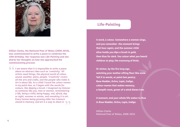

Gillian Clarke, the National Poet of Wales (2008-2016), was commissioned to write a poem to celebrate the 10th birthday. Her response was *Life-Painting* and she shares her thoughts on how she approached the commissioning process:

**''***I am aware that it is impossible to write a poem about an abstract idea such as 'creativity'. All artists need things, the physical world of colour, sound, weather, place, people. 'Creativity' covers all the arts and crafts, and the people who make it. Art is about life. As a child I loved the colour-names in my paint-box, so I began with the words for colours, like dipping a brush. I imagined my listener as someone like you, man or woman, remembering a life, being a child, being happy, sad, afraid, day or night, summer or winter, and remaking it in art. Every human being growing older has treasure*  stored in memory, and art is a way to share it.  $\bullet$ 

### Life-Painting

A word, a colour. Somewhere a woman sings, and you remember -the moment brings that hour again, and the summer child alive inside you dips a brush in gold, then blue for dark. You colour what you heard: children at play; the evensong of birds.

Or winter, by the fire long ago, watching your mother sifting flour like snow. Tell it in words, or paint-box poetry: *Rose Madder, Ochre, Lapis, Indigo,* colour-names that waken memory, a lamplit room, groan of a wind-blown tree.

A moment, and your whole life wakes to flow in *Rose Madder, Ochre, Lapis, Indigo.*

Gillian Clarke National Poet of Wales, 2008–2016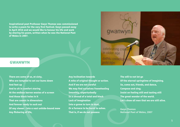Inspirational poet Professor Gwyn Thomas was commissioned to write a poem for the very first festival. Gwyn passed away in April 2016 and we would like to honour his life and work by sharing his poem, written when he was the National Poet of Wales in 2007.



#### GWANWYN

There are some of us, at sixty, Who are tempted to set our bums down And feet up And to sit in comfort staring At the endless barren wastes of a screen And those black holes in it That are cosmic in dimensions And forever ready to suck out Of any viewer - into a vast unhide-bound maw Any flickering of life,

Any inclination towards A mite of original thought or action. And if we are not careful We may find ourselves freewheeling Smoothly, unperturbedly In a shroud of a total and black Lack of imagination Into a grave to turn to dust, Or a furnace to be burnt to ashes. That is, if we do not possess

The will to not let go Of the eternal springtime of imagining. So, come out, friends, and dance, Compose and sing; Insist on feeling still and tasting still The great wonder of the world. Let's show all men that we are still alive.

Gwyn Thomas National Poet of Wales, 2007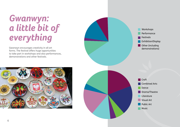# *Gwanwyn: a little bit of everything*

Gwanwyn encourages creativity in all art forms. The festival offers huge opportunities to take part in workshops and also performances, demonstrations and other festivals.



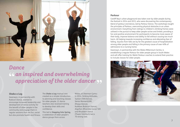

### *Dance <u>EXECUTE AND SET EXECUTE AND THE PROPRETTED APPRENENT APPRENENT APPRENENT APPRENENT APPRENENT APPRENENT APPREnent APPREnent APPREnent APPREnent APPREnent APPREnent APPREnent APPREnent APPREnent APPREnent APPREnent APPREn*</u> appreciation of the older dancer 99

#### Shake a Leg

Gwanwyn, in partnership with Rubicon Dance, wanted to encourage increased leadership and development of dance activity for the benefit of older people in the community and engage them in regular sessions that are fun, social but also promote health and fitness. The *Shake a Leg* manual was created as a simple introduction to planning and teaching classes for older people. 21 dance teachers also received training to develop their skills and confidence.

This led to **Stepping Into Spring**, a celebration of older people's dance groups from across

Wales, at Sherman Cymru in 2014. Striking Attitudes, Tystion (TAN Dance), Senior Moment(UM) (Powys Dance), NuWave (Rubicon Dance), Atgofion (Rhondda Cynon Taf) and Rhuddem Dance (Theatr Felinfach) led a 70 strong cast.

#### Parkour

Cardiff Bay's urban playground was taken over by older people during the festival in 2014 and 2015, who were discovering the contemporary blend of parkour and dance, led by Parkour Dance. The workshops taught the principles of Parkour, overcoming physical obstacles in an urban environment. Everything from railings to children's climbing frames were utilised in the pursuit to keep older people active and limber; providing a fun and positive environment for participants to become more aware of their body, improve balance and ability to fall without causing too much harm. All helping towards increasing confidence and alleviating fear of falling. Injuries from falls are by far the greatest cause of hospitalisation among older people and falling is the primary cause of over 40% of admissions to a nursing home.

Gwanwyn, in partnership with the Wales Millennium Centre, is establishing a regular Parkour for older people group in South Wales and will offer training for Welsh Parkour coaches to extend their practice to include classes for older people.

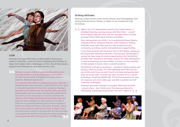

#### CAIN

Gwanwyn has supported CAIN, an older people's dance group based in Caernarfon, led by Cai Tomos. Inspired by the Company of Elders from Sadler's Wells, CAIN began in 2012. One of their dancers explains how CAIN puts the 'joie' back into the 'vivre'

*We learn so much, a kind of understanding which can be quiet and tender or strong and powerful and in which we dance a connection to whatever it is which binds us together. Whatever age we are!* **''**

> *It's important that CAIN is a performance group. Although I always benefit from every class I attend the aim of our work is to be able to perform in front of an audience, Gwanwyn has given us the opportunity. My muscles, joints, my whole body benefits from our classes and also from performance. My memory is also improved as I need to remember the sequence of the piece. Remembering and performing well gives me more confidence in other aspects of my life. In CAIN we are constantly learning about what our physical bodies can achieve but there is also other learning – about who we are, what we need, how to relate to others. There are hard lessons to learn in growing older but dancing helps*  me recognise the positives and keep the spiral of positivity<br>moving upwards rather than give in to the difficulties. *moving upwards rather than give in to the difficulties.*

#### Striking Attitudes

Gwanwyn asked Caroline Lamb, Artistic Director and Choreographer from Striking Attitudes Dance Theatre, to reflect on her involvement with the festival;

*When I was 10 I desperately wanted to be a ballet dancer. I attended Saturday morning classes with Miss Fisher – a small and terrifying lady with short red hair and spent hours at home perusing 'Every Child's Book of Dance and Ballet'*  **''**

*Now, having grown up a little, I run a professional dance theatre company with our rehearsal director, Janet Fieldsend. Striking Attitudes works with older dancers, both professional and community, providing creative and performance opportunities.*

 *I have been involved with Gwanwyn since it first began; making our first dance film 'Remains to Be Seen'. The best part of Gwanwyn is seeing the huge range of creative opportunities that the festival provides from saxophone workshops, parkour for older participants to African drumming and story telling. It focuses on the creativity of older people and gives them a valuable platform.*

 *The festival is all about carrying on – carrying on being creative and having a voice as we age. It's a life-affirming event that lets the rest of the world know we don't need to lie down and quietly fade away as we get older, and that age does not have to be a barrier to leading a creatively fulfilled life. The festival promotes the idea of a vigorous and active older age –one that is positive and still creatively challenging.*

 *Gwanwyn goes from strength to strength. Please get involved – jump in there – don't think twice! The Gwanwyn festival is stimulating, energizing and great fun! You won't regret it!* **''**

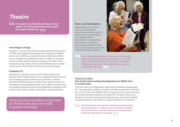### *Theatre*

**66** *I've spent my whole life getting to know others, but this performance has taught* me to get to know me *others, but this performance has taught me to get to know me* **''**

#### From Page to Stage

Gwanwyn, in partnership with Tŷ Newydd National Writing Centre of Wales, encouraged and developed new writing for the Welsh drama scene. Working on parallel strands in English and Welsh, writers attended two residencies to work on ideas for new plays for use by Welsh amateur drama companies. The writers were mentored by Gilly Adams and Aled Jones Williams who provided a real boost to their writing confidence and creative energy.

#### Company 6.5

Company 6.5, Sherman Cymru's Senior Theatre Group, and Sherman Youth Theatre took part in an intergenerational summer school leading to three performances of *Still Here*. *Still Here*, directed by Philip Mackenzie and Iwan Brioc, took the form of an experiential sensory labyrinth where each audience member took an individual journey through the dark labyrinth to experience and interact with a series of 'pods', each led by a single participant.

*Thank you from the bottom of my heart for the first slow dance of my life. It touched me deeply*

#### Have a go Shakespeare

Shakespeare Link's series of 'Have-a-go Shakespeare' workshops opened the works of the bard up to rurally isolated older people in Powys. Participation in the workshops led to some of the 'Have-agoers' joining the Willow Globe Community Company's production of *The Merry Wives of Windsor*.



**''** *I can't tell you how important 'Have-a-go' and our guided rebirth as Shakespeare groupies has been to us in a year full of unwelcome ambushes. Gwanwyn and Mr William Shakespeare have been more effective than a ward full of physicians. Bless you.* **''**

#### Third Act Critics *One of the most exciting developments in Welsh Arts in recent years*

Third Act Critics is an independent organisation available to people aged 50+. Through expert guidance, members are able to explore the role of the arts critic, and discover different ways to respond to arts, culture and sport. The programme gives budding critics aged 50+ the opportunity to see dynamic cultural and sporting events and get their voices heard. Initially funded by Gwanwyn, the scheme is always looking for new members.

**''***They have broken down barriers and asked questions about who actually gets to critique art. It is this democratisation of criticism that is crucial to a healthy and thriving artistic*  **community that listens to everyone.**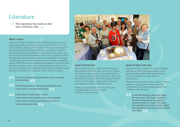### *Literature*

**''** *This experience has made me feel that I still have a life* **''**

#### What I Know

Gwanwyn Festival commissioned writer Briony Goffin to work with people whose voices often go unheard. These included carers, care home residents, older prisoners and nuns. Working in the medium of lists, beginning with the question "What do you know?" resulted in profound and moving compositions. Briony writes "*this project soon became for me about the individuals, rather than the groups to which they belonged. Subsequently, each piece of writing that has emerged is deeply personal and has involved a profound and often courageous journey. Whilst the work has undeniably emerged from four fascinating and distinct worlds, it is too easy to be tantalised by context. For me, this is the writing of many wonderful and extraordinary individuals and should be responded to in recognition of this, human to human."* 

**'' I** now know, because of my loneliness, when in company<br>I talk too much. *I talk too much.*

**''** I know George Best was the greatest footballer, ever<br>I know that I'm not afraid of the dark.<br>
I *I know that I'm not afraid of the dark.*

**''** I know that I like French and wo<br>I have known good times. *I know what it's like to have a stroke I know what it's like to place a baby up for adoption I know that I like French and would like to learn it*



#### Aged to Perfection

*Aged to Perfection* was a small book with big ideas. Featuring new work from older writers across Wales, the book was never meant to sit on a bookshelf but was designed to be passed on, with over 1,000 copies beginning their journey at the Hay Literature Festival launch in 2010. Copies made it as far as Australia, New Zealand and even Everest Base Camp.

So keep your eyes peeled, you may spot a copy of *Aged to Perfection* on your travels. Please let us know if you do!

#### Dyma Ni (Here We Are)

Meeting monthly in Caernarfon Library, Disability Arts Cymru's Welsh language creative writing group teamed up with author Siân Northey to create and publish new work; *Dyma Ni (Here We Are)* 

Members of the group live with a range of medical conditions and long term illnesses and their commitment to creative writing enhances their confidence and self value.

 *I have been battling a long term illness for many years. The things I am able to do have decreased and my world has become smaller as a result. This project has expanded my horizons and has helped me to feel that I have some kind of identity once again.*  **'' ''**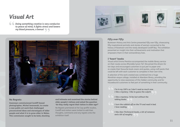### *Visual Art*

*Doing something creative is very conducive to peace of mind, it fights stress and lowers*  **''** *my blood pressure, a bonus!* **''**





#### No Regrets

Gwanwyn commissioned Cardiff-based photographer, Michal Iwanowski, to create a new public art work that challenged preconceived ideas and stereotypes of older people and what it is to grow older in Wales. This commission sought to be bold, shocking and intimate and examined the stories behind older people's tattoos and asked the question 'do they really regret their tattoo in older age?' *No Regrets* premiered at Fat Cap graffiti studios, Cardiff and visitors were invited to add their thoughts, comments and any regrets onto the exhibition itself.

#### *Fifty over Fifty*

Butetown History and Arts Centre presented *Fifty over Fifty*, showcasing fifty inspirational portraits and stories of women connected to the history of Butetown and the newly developed Cardiff Bay. The exhibition presented an insight into their achievements and motivation that empowers them in their extraordinary lives.

#### I 'heart' books

Visual artist Emma Prentice accompanied the mobile library service on their routes across Rhondda Cynon Taf. She joined the drivers for ten days and encouraged customers to put pen to paper and re-create their favourite book covers and quotes, using craft packs that could be left with each customer to complete in their own time.

A selection of the work created was combined into a huge Mondrian-esque collage, installed at Aberdare library, providing the opportunity to raise awareness of this hidden community and for housebound customers to feel part of something in their community.

*I'm in my 100's so I don't read as much now.*<br>I like a mystery. I like to guess the culprit. *I like a mystery. I like to guess the culprit.* 

*I like a mystery. I'd be lost without the*  **''** *talking books.*

I turn the rubbish off on the TV and read in bed.<br>I love reading. *I love reading.*

*I like Alan Titchmarsh books, a bit of romance*  **''** *and a bit of naughty.*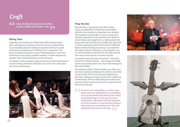## *Craft*  **''** *I was feeling fed up and low when I came, I feel much better now* **''**

#### Killing Time

Originally commissioned for Philip Glass' MATA festival in New York, contemporary composer Jobina Tinnemans asked knitters to use specially prepared needles to generate electronic sounds that formed an integral part of *Killing Time's* composition. The piece recreated the natural sound of Pembrokeshire, in which the movement of the knitter's needles created a 'random sequencing sampler' that mimicked birdsong, wind and waves.

The knitted 'scores' created a physical memory of each performance as each knitting performer adds their own work to the same piece during the performance.



#### Pimp My Uke

Pimp My Uke, in partnership with Men's Sheds Cymru, provided Men's Sheds from across Wales with kits and materials to make their own ukuleles. They received musical tuition to learn to play their 'pimped' instruments. 150 members from Sheds all across Wales came together for a sharing event and performance at St David's Hall, Cardiff, with talks from a luthier, workshops, performances from Cardiff Uke Nights and the Plucking Fourstrings. It provided the first opportunity for all Sheds to come together and for some members it was the first time they had left their local community for a number of years.

A ukulele kit was even sent to Australia – the home of the Men's Sheds initiative – and a group of ukulele learners are pimping their own ukes in Port Macquarie, New South Wales.

The majority of Men's Sheds members are older men, who have experienced depression, isolation and other mental states which have impacted negatively on their lives. Taking part really increased the confidence of individuals; with new skills being discovered and a real and visible increase to the sense of well-being for those who took part.

*The event was remarkable in so many ways; made even more delightful for the wonderful sense of spontaneity and sharing. Over-riding everything though was the great sense of achievement, self esteem and well being felt by all the members; to say they were buoyant and excited is an understatement. They still speak about the event to this day.*  **''''**



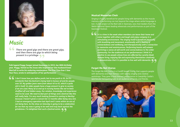

### *Music*

**''**

*There are good gigs and there are great gigs, and then there are gigs to which being*  **present is a privilege**  $\bullet$ 

Folk legend Peggy Seeger joined Gwanwyn in 2015, her 80th birthday year. Peggy, famed as the muse who inspired her late husband Ewan MacColl to write his enduring masterpiece *The First Time Ever I Saw Your Face*, wrote in anticipation of her performance:

**''** for me that my nose is going to be well and truly back against the grindstone. I'm delighted that such a festival exists. *I don't know how you define youth, but to me youth is 50. So it's wonderful that the festival is being held in honour of and for people over 50. My golden years were from about 40 to 65, which is quite old in itself. Us older people have a huge amount to give to society if we are used. Many of us end up in nursing homes like we've been shuffled off and hidden away. Our wisdom, knowledge and experience need to be used. We need to feel part of things and a festival like this will really help. I'm very much looking forward to coming to Merthyr because I haven't given a concert for 13 months after being very sick. I had an emergency operation last April and I came within an ace of not being here. So the show on Saturday is going to be a celebration grindstone. I'm delighted that such a festival exists.*

#### Musical Memories Choir

Singing is hugely beneficial for people living with dementia as the muscle memory of performing can last beyond the stage where verbal language is lost. A pilot project at the Red Cafe in Swansea, saw choir leaders from the Welsh National Opera leading rehearsals and performances as part of the Gwanwyn Festival.

**''** *It is a time in the week when members can leave their home and come together with others and laugh and enjoy company in a stimulating environment. The singing itself is beneficial physically with breathing and movement, emotionally with a feeling of connectedness and wellbeing, and therapeutically with a connection to memories and reminiscences. Performing boosts self esteem and brings a sense of self worth and connectedness to the wider community. For the audiences at our performances I think it is positive to see people whose lives are affected by a pretty bleak disease living, enjoying life and expressing themselves creatively. It demonstrates that it is possible to live well with dementia.* <del>c</del>h<br>'ely.<br>99

#### Forget Me Not Chorus

The Forget Me Not Chorus is a Cardiff-based charity that supports people with dementia and their families with weekly singing and creative workshops. They gave a food themed performance in Caerphilly Castle's spectacular banqueting hall, to an audience of family and friends.

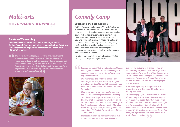**( f I** defy anybody not to be moved **( )** *I defy anybody not to be moved*

#### Butetown Women's Day

Women and children from the Somali, Yemeni, Sudanese, Indian, Bengali, Pakistani and other communities from Butetown joined together for a special Gwanwyn festival. Jamad Jibril of BAWSO explains:

 *The room burst with fun, energy and community spirit when everyone joined together to dance and perform music guaranteed to get you dancing – I defy anybody not to be moved! Gwanwyn's multicultural festival is such an important event, not only for bringing all the communities together but also for building that bridge between the*  **''** *young and old generations.* **''**



## *Multi-arts Comedy Camp*

#### Laughter is the best medicine

In 2011, Gwanwyn and the Cardiff Comedy Festival set out to find Wales' funniest over 50s. Those who were brave enough took part in a two week intensive training course with professional comedians, culminating in a live public performance at the Glee Club in Cardiff Bay. One of the participants, Phil Westcott, had never performed stand up comedy in his life before joining the Comedy Camp, and he went on to become a semi-professional comedian, performing and organising gigs on the Welsh circuit, as well as popular comedy festivals in London.

He talks to Gwanwyn about how taking that first step to apply and take part changed his life.

*I saw an ad on CEEFAX, on television looking for Wales' funniest over 50s. I'd been living with depression and just sat on the sofa watching day time television.*  **''**

> *The workshops, the audition, nothing can prepare you for the first time – my first joke was about my daughter and 30 seconds before I went on stage I couldn't remember her name! Not a clue!*

> *Then a fortnight later I was on the stage at the Glee club in Cardiff! It was mind blowing. Standing on the stage before the event I was thinking of all the comedians who have stood on that stage – I've stood on the same stage as Lee Evans (he is one of my heroes) – I love Lee Evans. He's played there, all the big names you name them, Michael McIntyre, all played there – I could feel it.*

*It probably wasn't my best performance but it felt like it was because I was on such a* 



*high – going out onto that stage. It was my first sense of 'oh yeah – I can control you lot' – commanding , I'm in control of this from now on – if you'd have heckled me you would've been in trouble cos I was was on fire and I finished my set and it went down well. I will never forget that experience.*

What would you say to people who are interested in starting something, but keep making excuses?

*I'd encourage people to put themselves outside of their comfort zone. Try to do something that they never ever would think they were capable of doing. Cos I didn't, well, I must have thought that I was capable of doing it otherwise I would never have tried, but I would never have thought that I would ever been paid for it – I've been paid a few times now. That makes me a professional comedian.* ow. Th<br>99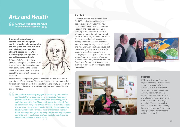### *Arts and Health*

**'' ''** *Gwanwyn is shaping the future of dementia assessment* 

Gwanwyn has developed a reputation of delivering high quality art projects for people who are living with dementia. We have worked closely with a number of health boards across Wales to deliver projects for people on dementia assessment units.

*In Your Minds Eye*, at the Royal Glamorgan hospital, was born out of the desire to make the environment more stimulating and to explore how the artworks could be used as part of the assessment process on the ward.



Artists worked with patients, their families and staff to make arts a part of daily life on the ward. The project's legacy includes a new sign for the Seren ward, art work that transformed the empty spaces on the corridors and a dedicated arts and creative space on the ward to run arts workshops.

 *The patients were being engaged in something constructive and the staff were becoming more motivated... Families of patients were pleased to see their loved ones taking part in activities no matter how big or small a part they played. From an assessment perspective these processes allowed us to gauge the patients' concentration levels, dexterity levels and ability to follow instruction. For me as the ward manager, I cannot thank Gwanwyn enough for agreeing to try something very new*  and different. It has helped us shape the future of dementia assessment in hospital wards. *assessment in hospital wards.* **''**

#### Tactile Art

Gwanwyn worked with students from Cardiff School of Art and Design to design tactile art for use in the new adult mental health unit in Llandough Hospital. The piece was made up of a variety of 3D materials to create a stimulus for patients, staff, family and carers to touch, play with and talk about. This also helped reduce anxiety levels of the patients on the ward. Professor Marcus Longley, Deputy Chair of Cardiff and Vale University Health Board, said at the unveiling of the piece *"it was really inspiring to see the imaginative and cutting edge services you have all created in Llandough, and a great privilege for me to be there. Your partnership with Age Cymru and the young artists are a great example of care which goes beyond good to excellent. "*





#### cARTrefu

CARTrefu is Gwanwyn's partner project, delivering arts residencies in care homes across Wales. cARTrefu's aim is to make daily life in care homes more creative. cARTrefu works with sixteen artists in four different art forms, who all receive mentoring from an expert in their area. The project will deliver 128 art residencies over two years and offers dance, drama, music, poetry, felt making, photography and much more to residents and staff.